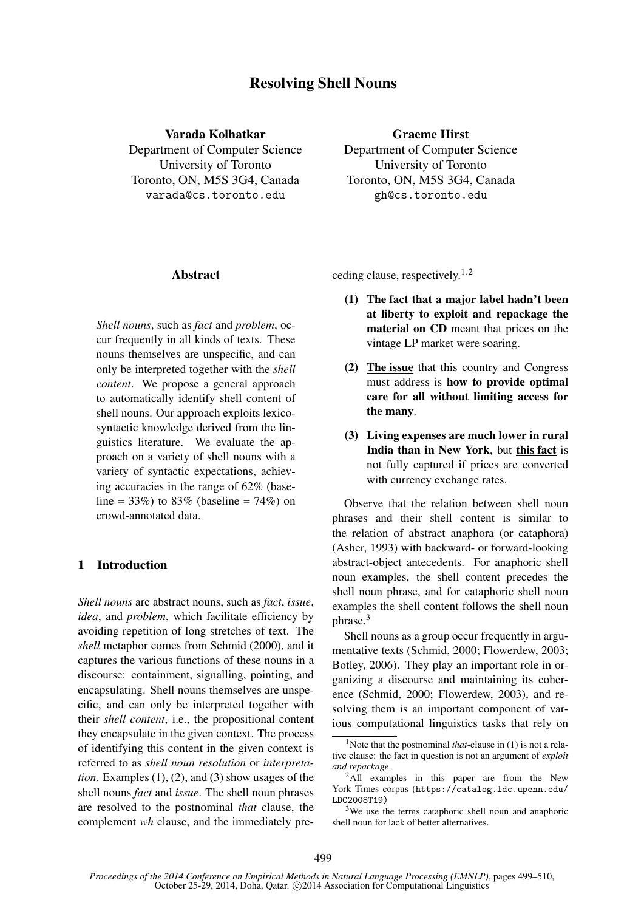# Resolving Shell Nouns

#### Varada Kolhatkar

Department of Computer Science University of Toronto Toronto, ON, M5S 3G4, Canada varada@cs.toronto.edu

#### Graeme Hirst

Department of Computer Science University of Toronto Toronto, ON, M5S 3G4, Canada gh@cs.toronto.edu

### **Abstract**

*Shell nouns*, such as *fact* and *problem*, occur frequently in all kinds of texts. These nouns themselves are unspecific, and can only be interpreted together with the *shell content*. We propose a general approach to automatically identify shell content of shell nouns. Our approach exploits lexicosyntactic knowledge derived from the linguistics literature. We evaluate the approach on a variety of shell nouns with a variety of syntactic expectations, achieving accuracies in the range of 62% (baseline =  $33\%$ ) to  $83\%$  (baseline =  $74\%$ ) on crowd-annotated data.

## 1 Introduction

*Shell nouns* are abstract nouns, such as *fact*, *issue*, *idea*, and *problem*, which facilitate efficiency by avoiding repetition of long stretches of text. The *shell* metaphor comes from Schmid (2000), and it captures the various functions of these nouns in a discourse: containment, signalling, pointing, and encapsulating. Shell nouns themselves are unspecific, and can only be interpreted together with their *shell content*, i.e., the propositional content they encapsulate in the given context. The process of identifying this content in the given context is referred to as *shell noun resolution* or *interpretation*. Examples (1), (2), and (3) show usages of the shell nouns *fact* and *issue*. The shell noun phrases are resolved to the postnominal *that* clause, the complement *wh* clause, and the immediately preceding clause, respectively.<sup>1,2</sup>

- (1) The fact that a major label hadn't been at liberty to exploit and repackage the material on CD meant that prices on the vintage LP market were soaring.
- (2) The issue that this country and Congress must address is how to provide optimal care for all without limiting access for the many.
- (3) Living expenses are much lower in rural India than in New York, but this fact is not fully captured if prices are converted with currency exchange rates.

Observe that the relation between shell noun phrases and their shell content is similar to the relation of abstract anaphora (or cataphora) (Asher, 1993) with backward- or forward-looking abstract-object antecedents. For anaphoric shell noun examples, the shell content precedes the shell noun phrase, and for cataphoric shell noun examples the shell content follows the shell noun phrase.<sup>3</sup>

Shell nouns as a group occur frequently in argumentative texts (Schmid, 2000; Flowerdew, 2003; Botley, 2006). They play an important role in organizing a discourse and maintaining its coherence (Schmid, 2000; Flowerdew, 2003), and resolving them is an important component of various computational linguistics tasks that rely on

<sup>&</sup>lt;sup>1</sup>Note that the postnominal *that*-clause in (1) is not a relative clause: the fact in question is not an argument of *exploit and repackage*.

<sup>&</sup>lt;sup>2</sup>All examples in this paper are from the New York Times corpus (https://catalog.ldc.upenn.edu/ LDC2008T19)

 $3$ We use the terms cataphoric shell noun and anaphoric shell noun for lack of better alternatives.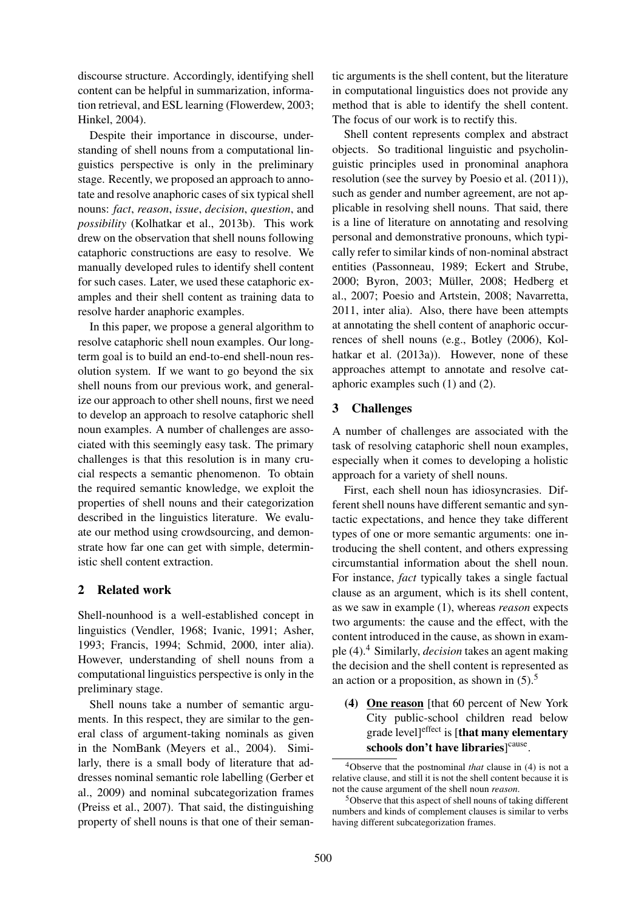discourse structure. Accordingly, identifying shell content can be helpful in summarization, information retrieval, and ESL learning (Flowerdew, 2003; Hinkel, 2004).

Despite their importance in discourse, understanding of shell nouns from a computational linguistics perspective is only in the preliminary stage. Recently, we proposed an approach to annotate and resolve anaphoric cases of six typical shell nouns: *fact*, *reason*, *issue*, *decision*, *question*, and *possibility* (Kolhatkar et al., 2013b). This work drew on the observation that shell nouns following cataphoric constructions are easy to resolve. We manually developed rules to identify shell content for such cases. Later, we used these cataphoric examples and their shell content as training data to resolve harder anaphoric examples.

In this paper, we propose a general algorithm to resolve cataphoric shell noun examples. Our longterm goal is to build an end-to-end shell-noun resolution system. If we want to go beyond the six shell nouns from our previous work, and generalize our approach to other shell nouns, first we need to develop an approach to resolve cataphoric shell noun examples. A number of challenges are associated with this seemingly easy task. The primary challenges is that this resolution is in many crucial respects a semantic phenomenon. To obtain the required semantic knowledge, we exploit the properties of shell nouns and their categorization described in the linguistics literature. We evaluate our method using crowdsourcing, and demonstrate how far one can get with simple, deterministic shell content extraction.

## 2 Related work

Shell-nounhood is a well-established concept in linguistics (Vendler, 1968; Ivanic, 1991; Asher, 1993; Francis, 1994; Schmid, 2000, inter alia). However, understanding of shell nouns from a computational linguistics perspective is only in the preliminary stage.

Shell nouns take a number of semantic arguments. In this respect, they are similar to the general class of argument-taking nominals as given in the NomBank (Meyers et al., 2004). Similarly, there is a small body of literature that addresses nominal semantic role labelling (Gerber et al., 2009) and nominal subcategorization frames (Preiss et al., 2007). That said, the distinguishing property of shell nouns is that one of their seman-

tic arguments is the shell content, but the literature in computational linguistics does not provide any method that is able to identify the shell content. The focus of our work is to rectify this.

Shell content represents complex and abstract objects. So traditional linguistic and psycholinguistic principles used in pronominal anaphora resolution (see the survey by Poesio et al. (2011)), such as gender and number agreement, are not applicable in resolving shell nouns. That said, there is a line of literature on annotating and resolving personal and demonstrative pronouns, which typically refer to similar kinds of non-nominal abstract entities (Passonneau, 1989; Eckert and Strube, 2000; Byron, 2003; Müller, 2008; Hedberg et al., 2007; Poesio and Artstein, 2008; Navarretta, 2011, inter alia). Also, there have been attempts at annotating the shell content of anaphoric occurrences of shell nouns (e.g., Botley (2006), Kolhatkar et al. (2013a)). However, none of these approaches attempt to annotate and resolve cataphoric examples such (1) and (2).

### 3 Challenges

A number of challenges are associated with the task of resolving cataphoric shell noun examples, especially when it comes to developing a holistic approach for a variety of shell nouns.

First, each shell noun has idiosyncrasies. Different shell nouns have different semantic and syntactic expectations, and hence they take different types of one or more semantic arguments: one introducing the shell content, and others expressing circumstantial information about the shell noun. For instance, *fact* typically takes a single factual clause as an argument, which is its shell content, as we saw in example (1), whereas *reason* expects two arguments: the cause and the effect, with the content introduced in the cause, as shown in example (4).<sup>4</sup> Similarly, *decision* takes an agent making the decision and the shell content is represented as an action or a proposition, as shown in  $(5)$ .<sup>5</sup>

(4) One reason [that 60 percent of New York City public-school children read below grade level]<sup>effect</sup> is [that many elementary schools don't have libraries]<sup>cause</sup>.

<sup>4</sup>Observe that the postnominal *that* clause in (4) is not a relative clause, and still it is not the shell content because it is not the cause argument of the shell noun *reason*.

<sup>5</sup>Observe that this aspect of shell nouns of taking different numbers and kinds of complement clauses is similar to verbs having different subcategorization frames.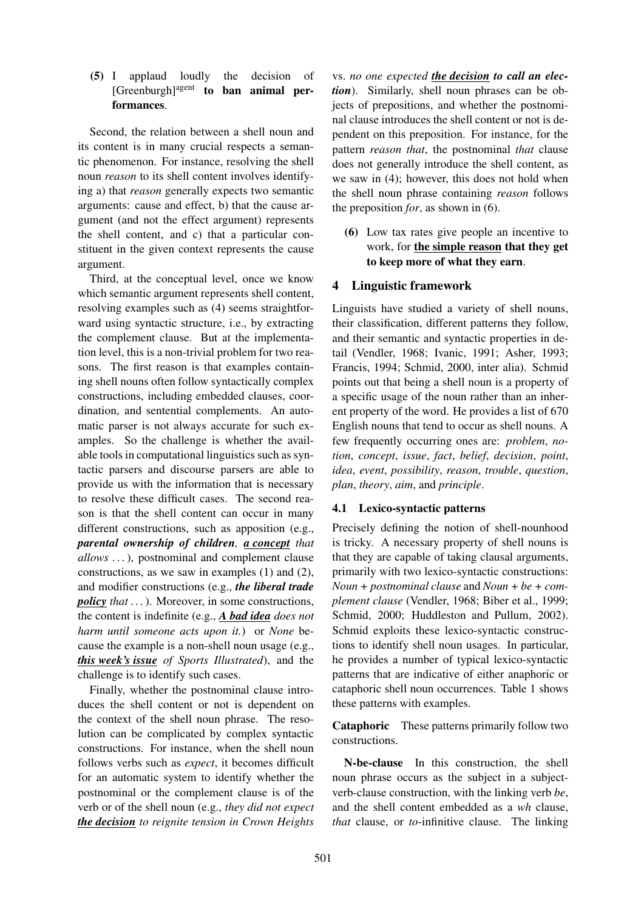# (5) I applaud loudly the decision of  $[Greenburch]<sup>agent</sup>$  to ban animal performances.

Second, the relation between a shell noun and its content is in many crucial respects a semantic phenomenon. For instance, resolving the shell noun *reason* to its shell content involves identifying a) that *reason* generally expects two semantic arguments: cause and effect, b) that the cause argument (and not the effect argument) represents the shell content, and c) that a particular constituent in the given context represents the cause argument.

Third, at the conceptual level, once we know which semantic argument represents shell content, resolving examples such as (4) seems straightforward using syntactic structure, i.e., by extracting the complement clause. But at the implementation level, this is a non-trivial problem for two reasons. The first reason is that examples containing shell nouns often follow syntactically complex constructions, including embedded clauses, coordination, and sentential complements. An automatic parser is not always accurate for such examples. So the challenge is whether the available tools in computational linguistics such as syntactic parsers and discourse parsers are able to provide us with the information that is necessary to resolve these difficult cases. The second reason is that the shell content can occur in many different constructions, such as apposition (e.g., *parental ownership of children, a concept that allows . . .*), postnominal and complement clause constructions, as we saw in examples (1) and (2), and modifier constructions (e.g., *the liberal trade policy that . . .*). Moreover, in some constructions, the content is indefinite (e.g., *A bad idea does not harm until someone acts upon it.*) or *None* because the example is a non-shell noun usage (e.g., *this week's issue of Sports Illustrated*), and the challenge is to identify such cases.

Finally, whether the postnominal clause introduces the shell content or not is dependent on the context of the shell noun phrase. The resolution can be complicated by complex syntactic constructions. For instance, when the shell noun follows verbs such as *expect*, it becomes difficult for an automatic system to identify whether the postnominal or the complement clause is of the verb or of the shell noun (e.g., *they did not expect the decision to reignite tension in Crown Heights*

vs. *no one expected the decision to call an election*). Similarly, shell noun phrases can be objects of prepositions, and whether the postnominal clause introduces the shell content or not is dependent on this preposition. For instance, for the pattern *reason that*, the postnominal *that* clause does not generally introduce the shell content, as we saw in (4); however, this does not hold when the shell noun phrase containing *reason* follows the preposition *for*, as shown in (6).

(6) Low tax rates give people an incentive to work, for the simple reason that they get to keep more of what they earn.

# 4 Linguistic framework

Linguists have studied a variety of shell nouns, their classification, different patterns they follow, and their semantic and syntactic properties in detail (Vendler, 1968; Ivanic, 1991; Asher, 1993; Francis, 1994; Schmid, 2000, inter alia). Schmid points out that being a shell noun is a property of a specific usage of the noun rather than an inherent property of the word. He provides a list of 670 English nouns that tend to occur as shell nouns. A few frequently occurring ones are: *problem*, *notion*, *concept*, *issue*, *fact*, *belief*, *decision*, *point*, *idea*, *event*, *possibility*, *reason*, *trouble*, *question*, *plan*, *theory*, *aim*, and *principle*.

# 4.1 Lexico-syntactic patterns

Precisely defining the notion of shell-nounhood is tricky. A necessary property of shell nouns is that they are capable of taking clausal arguments, primarily with two lexico-syntactic constructions: *Noun + postnominal clause* and *Noun + be + complement clause* (Vendler, 1968; Biber et al., 1999; Schmid, 2000; Huddleston and Pullum, 2002). Schmid exploits these lexico-syntactic constructions to identify shell noun usages. In particular, he provides a number of typical lexico-syntactic patterns that are indicative of either anaphoric or cataphoric shell noun occurrences. Table 1 shows these patterns with examples.

Cataphoric These patterns primarily follow two constructions.

N-be-clause In this construction, the shell noun phrase occurs as the subject in a subjectverb-clause construction, with the linking verb *be*, and the shell content embedded as a *wh* clause, *that* clause, or *to*-infinitive clause. The linking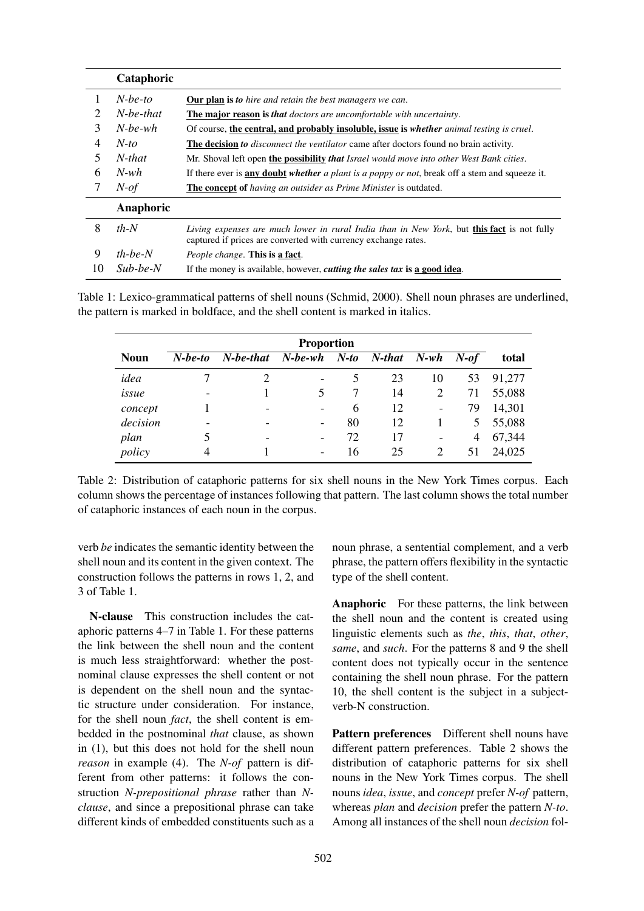|                | Cataphoric    |                                                                                                                                                              |
|----------------|---------------|--------------------------------------------------------------------------------------------------------------------------------------------------------------|
|                | $N$ -be-to    | <b>Our plan is to</b> hire and retain the best managers we can.                                                                                              |
| 2              | N-be-that     | The major reason is that doctors are uncomfortable with uncertainty.                                                                                         |
| 3              | $N$ -be-wh    | Of course, the central, and probably insoluble, issue is whether animal testing is cruel.                                                                    |
| $\overline{4}$ | $N$ -to       | <b>The decision to</b> disconnect the ventilator came after doctors found no brain activity.                                                                 |
| 5              | $N$ -that     | Mr. Shoval left open the possibility that Israel would move into other West Bank cities.                                                                     |
| 6              | $N$ -wh       | If there ever is <b>any doubt</b> whether a plant is a poppy or not, break off a stem and squeeze it.                                                        |
|                | $N$ -of       | <b>The concept of</b> having an outsider as Prime Minister is outdated.                                                                                      |
|                | Anaphoric     |                                                                                                                                                              |
| 8              | $th-N$        | Living expenses are much lower in rural India than in New York, but this fact is not fully<br>captured if prices are converted with currency exchange rates. |
| 9              | $th$ -be- $N$ | <i>People change.</i> This is a fact.                                                                                                                        |
| 10             | $Sub-be-N$    | If the money is available, however, <i>cutting the sales tax</i> is a good idea.                                                                             |

Table 1: Lexico-grammatical patterns of shell nouns (Schmid, 2000). Shell noun phrases are underlined, the pattern is marked in boldface, and the shell content is marked in italics.

| <b>Proportion</b> |            |                              |                          |               |        |                          |         |        |
|-------------------|------------|------------------------------|--------------------------|---------------|--------|--------------------------|---------|--------|
| <b>Noun</b>       | $N$ -be-to | N-be-that                    | $N$ -be-wh               | $N$ -to       | N-that | $N$ -wh                  | $N$ -of | total  |
| idea              |            |                              | -                        | $\mathcal{L}$ | 23     | 10                       | 53      | 91,277 |
| issue             |            |                              |                          |               | 14     | $\overline{2}$           | 71      | 55,088 |
| concept           |            | $\qquad \qquad \blacksquare$ | $\overline{\phantom{0}}$ | 6             | 12     | $\overline{\phantom{a}}$ | 79      | 14,301 |
| decision          |            | $\overline{\phantom{0}}$     | $\overline{\phantom{a}}$ | 80            | 12     |                          | 5       | 55,088 |
| plan              | 5          | $\overline{\phantom{0}}$     |                          | 72            | 17     | $\qquad \qquad -$        | 4       | 67,344 |
| policy            | 4          |                              | $\overline{\phantom{a}}$ | 16            | 25     | 2                        | 51      | 24,025 |

Table 2: Distribution of cataphoric patterns for six shell nouns in the New York Times corpus. Each column shows the percentage of instances following that pattern. The last column shows the total number of cataphoric instances of each noun in the corpus.

verb *be* indicates the semantic identity between the shell noun and its content in the given context. The construction follows the patterns in rows 1, 2, and 3 of Table 1.

N-clause This construction includes the cataphoric patterns 4–7 in Table 1. For these patterns the link between the shell noun and the content is much less straightforward: whether the postnominal clause expresses the shell content or not is dependent on the shell noun and the syntactic structure under consideration. For instance, for the shell noun *fact*, the shell content is embedded in the postnominal *that* clause, as shown in (1), but this does not hold for the shell noun *reason* in example (4). The *N-of* pattern is different from other patterns: it follows the construction *N-prepositional phrase* rather than *Nclause*, and since a prepositional phrase can take different kinds of embedded constituents such as a

noun phrase, a sentential complement, and a verb phrase, the pattern offers flexibility in the syntactic type of the shell content.

Anaphoric For these patterns, the link between the shell noun and the content is created using linguistic elements such as *the*, *this*, *that*, *other*, *same*, and *such*. For the patterns 8 and 9 the shell content does not typically occur in the sentence containing the shell noun phrase. For the pattern 10, the shell content is the subject in a subjectverb-N construction.

Pattern preferences Different shell nouns have different pattern preferences. Table 2 shows the distribution of cataphoric patterns for six shell nouns in the New York Times corpus. The shell nouns *idea*, *issue*, and *concept* prefer *N-of* pattern, whereas *plan* and *decision* prefer the pattern *N-to*. Among all instances of the shell noun *decision* fol-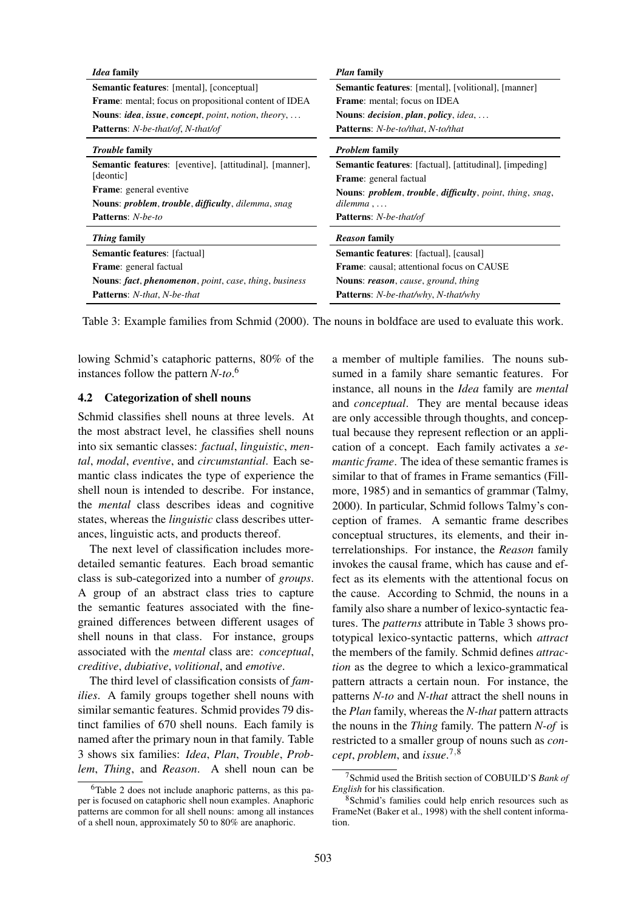| <i>Idea</i> family                                             | <i>Plan</i> family                                              |  |  |  |
|----------------------------------------------------------------|-----------------------------------------------------------------|--|--|--|
| <b>Semantic features:</b> [mental], [conceptual]               | <b>Semantic features:</b> [mental], [volitional], [manner]      |  |  |  |
| <b>Frame:</b> mental; focus on propositional content of IDEA   | <b>Frame:</b> mental; focus on IDEA                             |  |  |  |
| <b>Nouns: idea, issue, concept, point, notion, theory, </b>    | <b>Nouns:</b> decision, plan, policy, idea, $\dots$             |  |  |  |
| <b>Patterns:</b> N-be-that/of, N-that/of                       | Patterns: N-be-to/that, N-to/that                               |  |  |  |
| <i>Trouble</i> family                                          | <i>Problem</i> family                                           |  |  |  |
| <b>Semantic features:</b> [eventive], [attitudinal], [manner], | <b>Semantic features:</b> [factual], [attitudinal], [impeding]  |  |  |  |
| [deontic]                                                      | <b>Frame:</b> general factual                                   |  |  |  |
| <b>Frame:</b> general eventive                                 | <b>Nouns: problem, trouble, difficulty, point, thing, snag,</b> |  |  |  |
| <b>Nouns: problem, trouble, difficulty, dilemma, snag</b>      | $dilemma$ ,                                                     |  |  |  |
| <b>Patterns:</b> N-be-to                                       | <b>Patterns:</b> N-be-that/of                                   |  |  |  |
| <i>Thing family</i>                                            | <i>Reason</i> family                                            |  |  |  |
| <b>Semantic features:</b> [factual]                            | <b>Semantic features:</b> [factual], [causal]                   |  |  |  |
| <b>Frame:</b> general factual                                  | <b>Frame:</b> causal; attentional focus on CAUSE                |  |  |  |
| <b>Nouns: fact, phenomenon, point, case, thing, business</b>   | <b>Nouns: reason</b> , cause, ground, thing                     |  |  |  |
| <b>Patterns:</b> <i>N-that</i> , <i>N-be-that</i>              | <b>Patterns:</b> N-be-that/why, N-that/why                      |  |  |  |

Table 3: Example families from Schmid (2000). The nouns in boldface are used to evaluate this work.

lowing Schmid's cataphoric patterns, 80% of the instances follow the pattern *N-to*. 6

### 4.2 Categorization of shell nouns

Schmid classifies shell nouns at three levels. At the most abstract level, he classifies shell nouns into six semantic classes: *factual*, *linguistic*, *mental*, *modal*, *eventive*, and *circumstantial*. Each semantic class indicates the type of experience the shell noun is intended to describe. For instance, the *mental* class describes ideas and cognitive states, whereas the *linguistic* class describes utterances, linguistic acts, and products thereof.

The next level of classification includes moredetailed semantic features. Each broad semantic class is sub-categorized into a number of *groups*. A group of an abstract class tries to capture the semantic features associated with the finegrained differences between different usages of shell nouns in that class. For instance, groups associated with the *mental* class are: *conceptual*, *creditive*, *dubiative*, *volitional*, and *emotive*.

The third level of classification consists of *families*. A family groups together shell nouns with similar semantic features. Schmid provides 79 distinct families of 670 shell nouns. Each family is named after the primary noun in that family. Table 3 shows six families: *Idea*, *Plan*, *Trouble*, *Problem*, *Thing*, and *Reason*. A shell noun can be

a member of multiple families. The nouns subsumed in a family share semantic features. For instance, all nouns in the *Idea* family are *mental* and *conceptual*. They are mental because ideas are only accessible through thoughts, and conceptual because they represent reflection or an application of a concept. Each family activates a *semantic frame*. The idea of these semantic frames is similar to that of frames in Frame semantics (Fillmore, 1985) and in semantics of grammar (Talmy, 2000). In particular, Schmid follows Talmy's conception of frames. A semantic frame describes conceptual structures, its elements, and their interrelationships. For instance, the *Reason* family invokes the causal frame, which has cause and effect as its elements with the attentional focus on the cause. According to Schmid, the nouns in a family also share a number of lexico-syntactic features. The *patterns* attribute in Table 3 shows prototypical lexico-syntactic patterns, which *attract* the members of the family. Schmid defines *attraction* as the degree to which a lexico-grammatical pattern attracts a certain noun. For instance, the patterns *N-to* and *N-that* attract the shell nouns in the *Plan* family, whereas the *N-that* pattern attracts the nouns in the *Thing* family. The pattern *N-of* is restricted to a smaller group of nouns such as *concept*, *problem*, and *issue*. 7,8

<sup>&</sup>lt;sup>6</sup>Table 2 does not include anaphoric patterns, as this paper is focused on cataphoric shell noun examples. Anaphoric patterns are common for all shell nouns: among all instances of a shell noun, approximately 50 to 80% are anaphoric.

<sup>7</sup>Schmid used the British section of COBUILD'S *Bank of English* for his classification.

<sup>8</sup>Schmid's families could help enrich resources such as FrameNet (Baker et al., 1998) with the shell content information.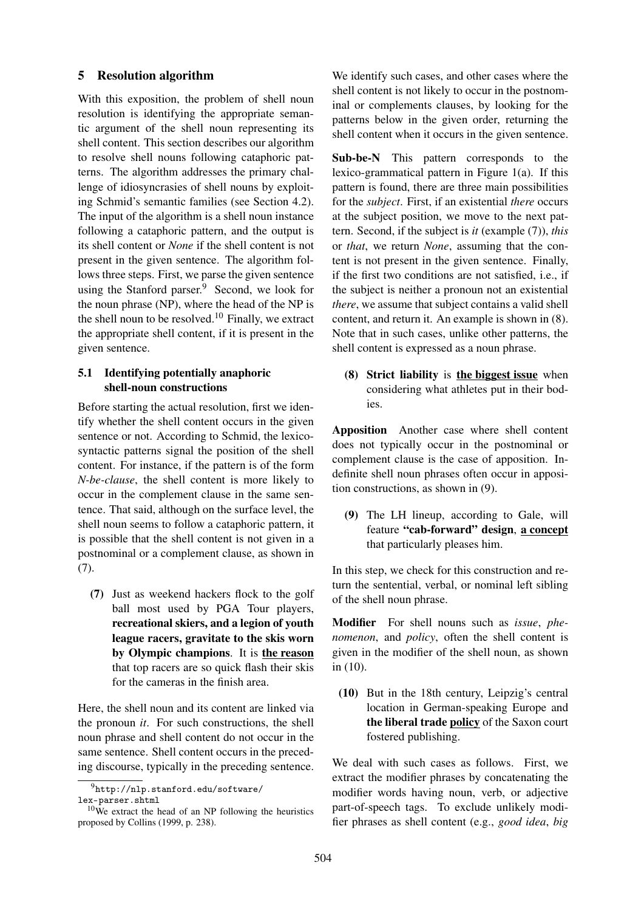### 5 Resolution algorithm

With this exposition, the problem of shell noun resolution is identifying the appropriate semantic argument of the shell noun representing its shell content. This section describes our algorithm to resolve shell nouns following cataphoric patterns. The algorithm addresses the primary challenge of idiosyncrasies of shell nouns by exploiting Schmid's semantic families (see Section 4.2). The input of the algorithm is a shell noun instance following a cataphoric pattern, and the output is its shell content or *None* if the shell content is not present in the given sentence. The algorithm follows three steps. First, we parse the given sentence using the Stanford parser.<sup>9</sup> Second, we look for the noun phrase (NP), where the head of the NP is the shell noun to be resolved.<sup>10</sup> Finally, we extract the appropriate shell content, if it is present in the given sentence.

# 5.1 Identifying potentially anaphoric shell-noun constructions

Before starting the actual resolution, first we identify whether the shell content occurs in the given sentence or not. According to Schmid, the lexicosyntactic patterns signal the position of the shell content. For instance, if the pattern is of the form *N-be-clause*, the shell content is more likely to occur in the complement clause in the same sentence. That said, although on the surface level, the shell noun seems to follow a cataphoric pattern, it is possible that the shell content is not given in a postnominal or a complement clause, as shown in (7).

(7) Just as weekend hackers flock to the golf ball most used by PGA Tour players, recreational skiers, and a legion of youth league racers, gravitate to the skis worn by Olympic champions. It is the reason that top racers are so quick flash their skis for the cameras in the finish area.

Here, the shell noun and its content are linked via the pronoun *it*. For such constructions, the shell noun phrase and shell content do not occur in the same sentence. Shell content occurs in the preceding discourse, typically in the preceding sentence.

 $^9$  http://nlp.stanford.edu/software/ lex-parser.shtml

We identify such cases, and other cases where the shell content is not likely to occur in the postnominal or complements clauses, by looking for the patterns below in the given order, returning the shell content when it occurs in the given sentence.

Sub-be-N This pattern corresponds to the lexico-grammatical pattern in Figure 1(a). If this pattern is found, there are three main possibilities for the *subject*. First, if an existential *there* occurs at the subject position, we move to the next pattern. Second, if the subject is *it* (example (7)), *this* or *that*, we return *None*, assuming that the content is not present in the given sentence. Finally, if the first two conditions are not satisfied, i.e., if the subject is neither a pronoun not an existential *there*, we assume that subject contains a valid shell content, and return it. An example is shown in (8). Note that in such cases, unlike other patterns, the shell content is expressed as a noun phrase.

(8) Strict liability is the biggest issue when considering what athletes put in their bodies.

Apposition Another case where shell content does not typically occur in the postnominal or complement clause is the case of apposition. Indefinite shell noun phrases often occur in apposition constructions, as shown in (9).

(9) The LH lineup, according to Gale, will feature "cab-forward" design, a concept that particularly pleases him.

In this step, we check for this construction and return the sentential, verbal, or nominal left sibling of the shell noun phrase.

Modifier For shell nouns such as *issue*, *phenomenon*, and *policy*, often the shell content is given in the modifier of the shell noun, as shown in (10).

(10) But in the 18th century, Leipzig's central location in German-speaking Europe and the liberal trade policy of the Saxon court fostered publishing.

We deal with such cases as follows. First, we extract the modifier phrases by concatenating the modifier words having noun, verb, or adjective part-of-speech tags. To exclude unlikely modifier phrases as shell content (e.g., *good idea*, *big*

 $10\text{W}$  extract the head of an NP following the heuristics proposed by Collins (1999, p. 238).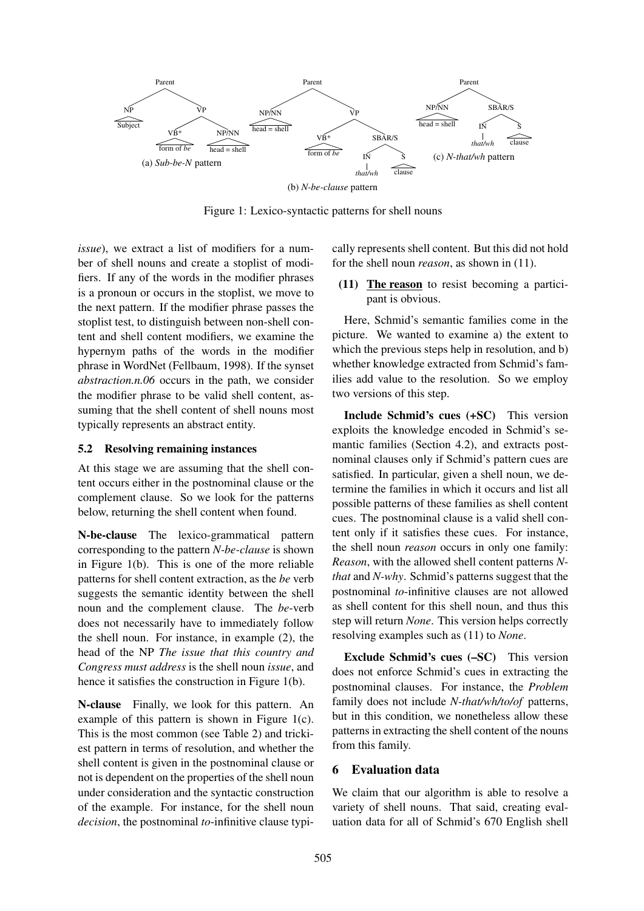

Figure 1: Lexico-syntactic patterns for shell nouns

*issue*), we extract a list of modifiers for a number of shell nouns and create a stoplist of modifiers. If any of the words in the modifier phrases is a pronoun or occurs in the stoplist, we move to the next pattern. If the modifier phrase passes the stoplist test, to distinguish between non-shell content and shell content modifiers, we examine the hypernym paths of the words in the modifier phrase in WordNet (Fellbaum, 1998). If the synset *abstraction.n.06* occurs in the path, we consider the modifier phrase to be valid shell content, assuming that the shell content of shell nouns most typically represents an abstract entity.

#### 5.2 Resolving remaining instances

At this stage we are assuming that the shell content occurs either in the postnominal clause or the complement clause. So we look for the patterns below, returning the shell content when found.

N-be-clause The lexico-grammatical pattern corresponding to the pattern *N-be-clause* is shown in Figure 1(b). This is one of the more reliable patterns for shell content extraction, as the *be* verb suggests the semantic identity between the shell noun and the complement clause. The *be*-verb does not necessarily have to immediately follow the shell noun. For instance, in example (2), the head of the NP *The issue that this country and Congress must address* is the shell noun *issue*, and hence it satisfies the construction in Figure 1(b).

N-clause Finally, we look for this pattern. An example of this pattern is shown in Figure 1(c). This is the most common (see Table 2) and trickiest pattern in terms of resolution, and whether the shell content is given in the postnominal clause or not is dependent on the properties of the shell noun under consideration and the syntactic construction of the example. For instance, for the shell noun *decision*, the postnominal *to*-infinitive clause typically represents shell content. But this did not hold for the shell noun *reason*, as shown in (11).

(11) The reason to resist becoming a participant is obvious.

Here, Schmid's semantic families come in the picture. We wanted to examine a) the extent to which the previous steps help in resolution, and b) whether knowledge extracted from Schmid's families add value to the resolution. So we employ two versions of this step.

Include Schmid's cues (+SC) This version exploits the knowledge encoded in Schmid's semantic families (Section 4.2), and extracts postnominal clauses only if Schmid's pattern cues are satisfied. In particular, given a shell noun, we determine the families in which it occurs and list all possible patterns of these families as shell content cues. The postnominal clause is a valid shell content only if it satisfies these cues. For instance, the shell noun *reason* occurs in only one family: *Reason*, with the allowed shell content patterns *Nthat* and *N-why*. Schmid's patterns suggest that the postnominal *to*-infinitive clauses are not allowed as shell content for this shell noun, and thus this step will return *None*. This version helps correctly resolving examples such as (11) to *None*.

Exclude Schmid's cues (–SC) This version does not enforce Schmid's cues in extracting the postnominal clauses. For instance, the *Problem* family does not include *N-that/wh/to/of* patterns, but in this condition, we nonetheless allow these patterns in extracting the shell content of the nouns from this family.

#### 6 Evaluation data

We claim that our algorithm is able to resolve a variety of shell nouns. That said, creating evaluation data for all of Schmid's 670 English shell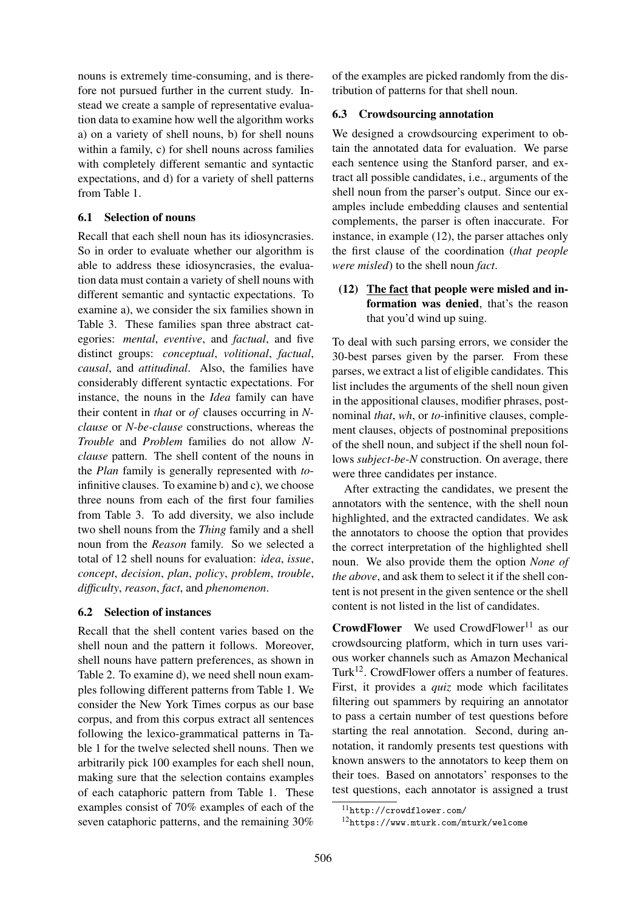nouns is extremely time-consuming, and is therefore not pursued further in the current study. Instead we create a sample of representative evaluation data to examine how well the algorithm works a) on a variety of shell nouns, b) for shell nouns within a family, c) for shell nouns across families with completely different semantic and syntactic expectations, and d) for a variety of shell patterns from Table 1.

### 6.1 Selection of nouns

Recall that each shell noun has its idiosyncrasies. So in order to evaluate whether our algorithm is able to address these idiosyncrasies, the evaluation data must contain a variety of shell nouns with different semantic and syntactic expectations. To examine a), we consider the six families shown in Table 3. These families span three abstract categories: *mental*, *eventive*, and *factual*, and five distinct groups: *conceptual*, *volitional*, *factual*, *causal*, and *attitudinal*. Also, the families have considerably different syntactic expectations. For instance, the nouns in the *Idea* family can have their content in *that* or *of* clauses occurring in *Nclause* or *N-be-clause* constructions, whereas the *Trouble* and *Problem* families do not allow *Nclause* pattern. The shell content of the nouns in the *Plan* family is generally represented with *to*infinitive clauses. To examine b) and c), we choose three nouns from each of the first four families from Table 3. To add diversity, we also include two shell nouns from the *Thing* family and a shell noun from the *Reason* family. So we selected a total of 12 shell nouns for evaluation: *idea*, *issue*, *concept*, *decision*, *plan*, *policy*, *problem*, *trouble*, *difficulty*, *reason*, *fact*, and *phenomenon*.

## 6.2 Selection of instances

Recall that the shell content varies based on the shell noun and the pattern it follows. Moreover, shell nouns have pattern preferences, as shown in Table 2. To examine d), we need shell noun examples following different patterns from Table 1. We consider the New York Times corpus as our base corpus, and from this corpus extract all sentences following the lexico-grammatical patterns in Table 1 for the twelve selected shell nouns. Then we arbitrarily pick 100 examples for each shell noun, making sure that the selection contains examples of each cataphoric pattern from Table 1. These examples consist of 70% examples of each of the seven cataphoric patterns, and the remaining 30%

of the examples are picked randomly from the distribution of patterns for that shell noun.

### 6.3 Crowdsourcing annotation

We designed a crowdsourcing experiment to obtain the annotated data for evaluation. We parse each sentence using the Stanford parser, and extract all possible candidates, i.e., arguments of the shell noun from the parser's output. Since our examples include embedding clauses and sentential complements, the parser is often inaccurate. For instance, in example (12), the parser attaches only the first clause of the coordination (*that people were misled*) to the shell noun *fact*.

# (12) The fact that people were misled and information was denied, that's the reason that you'd wind up suing.

To deal with such parsing errors, we consider the 30-best parses given by the parser. From these parses, we extract a list of eligible candidates. This list includes the arguments of the shell noun given in the appositional clauses, modifier phrases, postnominal *that*, *wh*, or *to*-infinitive clauses, complement clauses, objects of postnominal prepositions of the shell noun, and subject if the shell noun follows *subject-be-N* construction. On average, there were three candidates per instance.

After extracting the candidates, we present the annotators with the sentence, with the shell noun highlighted, and the extracted candidates. We ask the annotators to choose the option that provides the correct interpretation of the highlighted shell noun. We also provide them the option *None of the above*, and ask them to select it if the shell content is not present in the given sentence or the shell content is not listed in the list of candidates.

**CrowdFlower** We used CrowdFlower<sup>11</sup> as our crowdsourcing platform, which in turn uses various worker channels such as Amazon Mechanical Turk<sup>12</sup>. CrowdFlower offers a number of features. First, it provides a *quiz* mode which facilitates filtering out spammers by requiring an annotator to pass a certain number of test questions before starting the real annotation. Second, during annotation, it randomly presents test questions with known answers to the annotators to keep them on their toes. Based on annotators' responses to the test questions, each annotator is assigned a trust

<sup>11</sup>http://crowdflower.com/

<sup>12</sup>https://www.mturk.com/mturk/welcome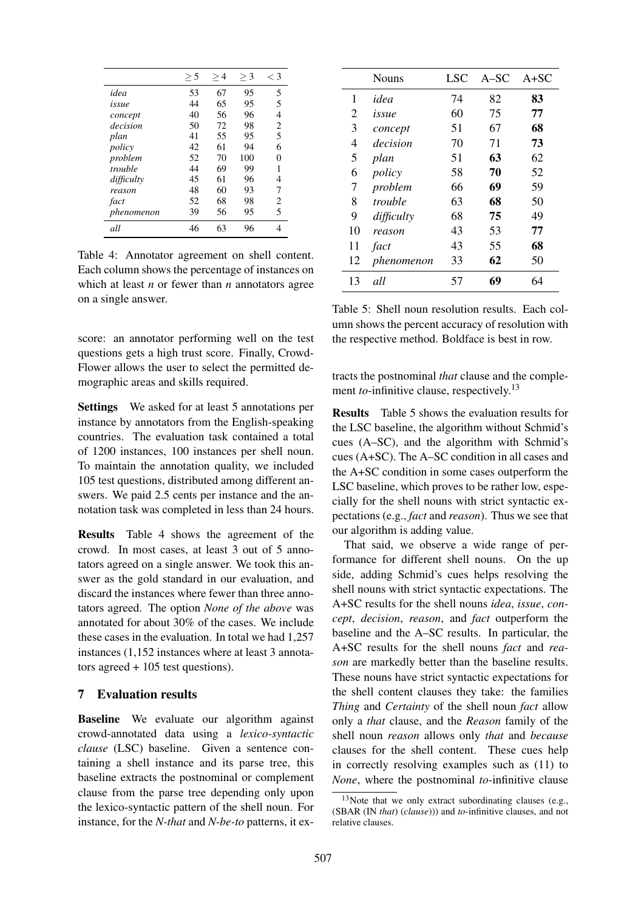|            | > 5 | >4 | $>$ 3 | $\lt$ 3 |
|------------|-----|----|-------|---------|
| idea       | 53  | 67 | 95    | 5       |
| issue      | 44  | 65 | 95    | 5       |
| concept    | 40  | 56 | 96    | 4       |
| decision   | 50  | 72 | 98    | 2       |
| plan       | 41  | 55 | 95    | 5       |
| policy     | 42  | 61 | 94    | 6       |
| problem    | 52  | 70 | 100   | 0       |
| trouble    | 44  | 69 | 99    | 1       |
| difficulty | 45  | 61 | 96    | 4       |
| reason     | 48  | 60 | 93    | 7       |
| fact       | 52  | 68 | 98    | 2       |
| phenomenon | 39  | 56 | 95    | 5       |
| all        | 46  | 63 | 96    |         |

Table 4: Annotator agreement on shell content. Each column shows the percentage of instances on which at least *n* or fewer than *n* annotators agree on a single answer.

score: an annotator performing well on the test questions gets a high trust score. Finally, Crowd-Flower allows the user to select the permitted demographic areas and skills required.

Settings We asked for at least 5 annotations per instance by annotators from the English-speaking countries. The evaluation task contained a total of 1200 instances, 100 instances per shell noun. To maintain the annotation quality, we included 105 test questions, distributed among different answers. We paid 2.5 cents per instance and the annotation task was completed in less than 24 hours.

Results Table 4 shows the agreement of the crowd. In most cases, at least 3 out of 5 annotators agreed on a single answer. We took this answer as the gold standard in our evaluation, and discard the instances where fewer than three annotators agreed. The option *None of the above* was annotated for about 30% of the cases. We include these cases in the evaluation. In total we had 1,257 instances (1,152 instances where at least 3 annotators agreed + 105 test questions).

## 7 Evaluation results

Baseline We evaluate our algorithm against crowd-annotated data using a *lexico-syntactic clause* (LSC) baseline. Given a sentence containing a shell instance and its parse tree, this baseline extracts the postnominal or complement clause from the parse tree depending only upon the lexico-syntactic pattern of the shell noun. For instance, for the *N-that* and *N-be-to* patterns, it ex-

|    | <b>Nouns</b> | LSC. | $A-SC$ | $A+SC$ |
|----|--------------|------|--------|--------|
| 1  | idea         | 74   | 82     | 83     |
| 2  | issue        | 60   | 75     | 77     |
| 3  | concept      | 51   | 67     | 68     |
| 4  | decision     | 70   | 71     | 73     |
| 5  | plan         | 51   | 63     | 62     |
| 6  | policy       | 58   | 70     | 52     |
| 7  | problem      | 66   | 69     | 59     |
| 8  | trouble      | 63   | 68     | 50     |
| 9  | difficulty   | 68   | 75     | 49     |
| 10 | reason       | 43   | 53     | 77     |
| 11 | fact         | 43   | 55     | 68     |
| 12 | phenomenon   | 33   | 62     | 50     |
| 13 | all          | 57   | 69     | 64     |

Table 5: Shell noun resolution results. Each column shows the percent accuracy of resolution with the respective method. Boldface is best in row.

tracts the postnominal *that* clause and the complement *to*-infinitive clause, respectively.<sup>13</sup>

Results Table 5 shows the evaluation results for the LSC baseline, the algorithm without Schmid's cues (A–SC), and the algorithm with Schmid's cues (A+SC). The A–SC condition in all cases and the A+SC condition in some cases outperform the LSC baseline, which proves to be rather low, especially for the shell nouns with strict syntactic expectations (e.g., *fact* and *reason*). Thus we see that our algorithm is adding value.

That said, we observe a wide range of performance for different shell nouns. On the up side, adding Schmid's cues helps resolving the shell nouns with strict syntactic expectations. The A+SC results for the shell nouns *idea*, *issue*, *concept*, *decision*, *reason*, and *fact* outperform the baseline and the A–SC results. In particular, the A+SC results for the shell nouns *fact* and *reason* are markedly better than the baseline results. These nouns have strict syntactic expectations for the shell content clauses they take: the families *Thing* and *Certainty* of the shell noun *fact* allow only a *that* clause, and the *Reason* family of the shell noun *reason* allows only *that* and *because* clauses for the shell content. These cues help in correctly resolving examples such as (11) to *None*, where the postnominal *to*-infinitive clause

 $13$ Note that we only extract subordinating clauses (e.g., (SBAR (IN *that*) (*clause*))) and *to*-infinitive clauses, and not relative clauses.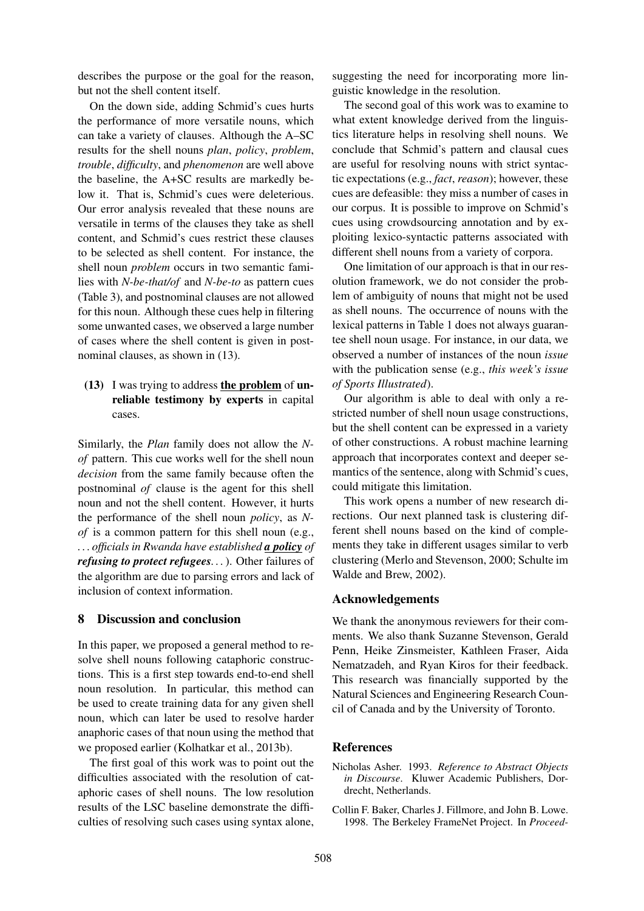describes the purpose or the goal for the reason, but not the shell content itself.

On the down side, adding Schmid's cues hurts the performance of more versatile nouns, which can take a variety of clauses. Although the A–SC results for the shell nouns *plan*, *policy*, *problem*, *trouble*, *difficulty*, and *phenomenon* are well above the baseline, the A+SC results are markedly below it. That is, Schmid's cues were deleterious. Our error analysis revealed that these nouns are versatile in terms of the clauses they take as shell content, and Schmid's cues restrict these clauses to be selected as shell content. For instance, the shell noun *problem* occurs in two semantic families with *N-be-that/of* and *N-be-to* as pattern cues (Table 3), and postnominal clauses are not allowed for this noun. Although these cues help in filtering some unwanted cases, we observed a large number of cases where the shell content is given in postnominal clauses, as shown in (13).

(13) I was trying to address the problem of unreliable testimony by experts in capital cases.

Similarly, the *Plan* family does not allow the *Nof* pattern. This cue works well for the shell noun *decision* from the same family because often the postnominal *of* clause is the agent for this shell noun and not the shell content. However, it hurts the performance of the shell noun *policy*, as *Nof* is a common pattern for this shell noun (e.g., *. . . officials in Rwanda have established a policy of refusing to protect refugees. . .*). Other failures of the algorithm are due to parsing errors and lack of inclusion of context information.

#### 8 Discussion and conclusion

In this paper, we proposed a general method to resolve shell nouns following cataphoric constructions. This is a first step towards end-to-end shell noun resolution. In particular, this method can be used to create training data for any given shell noun, which can later be used to resolve harder anaphoric cases of that noun using the method that we proposed earlier (Kolhatkar et al., 2013b).

The first goal of this work was to point out the difficulties associated with the resolution of cataphoric cases of shell nouns. The low resolution results of the LSC baseline demonstrate the difficulties of resolving such cases using syntax alone, suggesting the need for incorporating more linguistic knowledge in the resolution.

The second goal of this work was to examine to what extent knowledge derived from the linguistics literature helps in resolving shell nouns. We conclude that Schmid's pattern and clausal cues are useful for resolving nouns with strict syntactic expectations (e.g., *fact*, *reason*); however, these cues are defeasible: they miss a number of cases in our corpus. It is possible to improve on Schmid's cues using crowdsourcing annotation and by exploiting lexico-syntactic patterns associated with different shell nouns from a variety of corpora.

One limitation of our approach is that in our resolution framework, we do not consider the problem of ambiguity of nouns that might not be used as shell nouns. The occurrence of nouns with the lexical patterns in Table 1 does not always guarantee shell noun usage. For instance, in our data, we observed a number of instances of the noun *issue* with the publication sense (e.g., *this week's issue of Sports Illustrated*).

Our algorithm is able to deal with only a restricted number of shell noun usage constructions, but the shell content can be expressed in a variety of other constructions. A robust machine learning approach that incorporates context and deeper semantics of the sentence, along with Schmid's cues, could mitigate this limitation.

This work opens a number of new research directions. Our next planned task is clustering different shell nouns based on the kind of complements they take in different usages similar to verb clustering (Merlo and Stevenson, 2000; Schulte im Walde and Brew, 2002).

### Acknowledgements

We thank the anonymous reviewers for their comments. We also thank Suzanne Stevenson, Gerald Penn, Heike Zinsmeister, Kathleen Fraser, Aida Nematzadeh, and Ryan Kiros for their feedback. This research was financially supported by the Natural Sciences and Engineering Research Council of Canada and by the University of Toronto.

### References

- Nicholas Asher. 1993. *Reference to Abstract Objects in Discourse*. Kluwer Academic Publishers, Dordrecht, Netherlands.
- Collin F. Baker, Charles J. Fillmore, and John B. Lowe. 1998. The Berkeley FrameNet Project. In *Proceed-*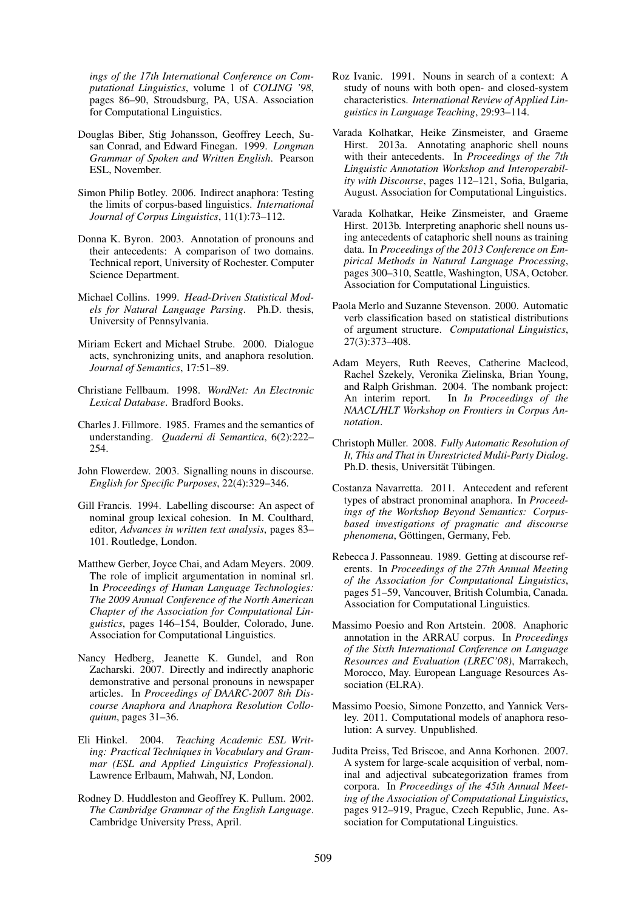*ings of the 17th International Conference on Computational Linguistics*, volume 1 of *COLING '98*, pages 86–90, Stroudsburg, PA, USA. Association for Computational Linguistics.

- Douglas Biber, Stig Johansson, Geoffrey Leech, Susan Conrad, and Edward Finegan. 1999. *Longman Grammar of Spoken and Written English*. Pearson ESL, November.
- Simon Philip Botley. 2006. Indirect anaphora: Testing the limits of corpus-based linguistics. *International Journal of Corpus Linguistics*, 11(1):73–112.
- Donna K. Byron. 2003. Annotation of pronouns and their antecedents: A comparison of two domains. Technical report, University of Rochester. Computer Science Department.
- Michael Collins. 1999. *Head-Driven Statistical Models for Natural Language Parsing*. Ph.D. thesis, University of Pennsylvania.
- Miriam Eckert and Michael Strube. 2000. Dialogue acts, synchronizing units, and anaphora resolution. *Journal of Semantics*, 17:51–89.
- Christiane Fellbaum. 1998. *WordNet: An Electronic Lexical Database*. Bradford Books.
- Charles J. Fillmore. 1985. Frames and the semantics of understanding. *Quaderni di Semantica*, 6(2):222– 254.
- John Flowerdew. 2003. Signalling nouns in discourse. *English for Specific Purposes*, 22(4):329–346.
- Gill Francis. 1994. Labelling discourse: An aspect of nominal group lexical cohesion. In M. Coulthard, editor, *Advances in written text analysis*, pages 83– 101. Routledge, London.
- Matthew Gerber, Joyce Chai, and Adam Meyers. 2009. The role of implicit argumentation in nominal srl. In *Proceedings of Human Language Technologies: The 2009 Annual Conference of the North American Chapter of the Association for Computational Linguistics*, pages 146–154, Boulder, Colorado, June. Association for Computational Linguistics.
- Nancy Hedberg, Jeanette K. Gundel, and Ron Zacharski. 2007. Directly and indirectly anaphoric demonstrative and personal pronouns in newspaper articles. In *Proceedings of DAARC-2007 8th Discourse Anaphora and Anaphora Resolution Colloquium*, pages 31–36.
- Eli Hinkel. 2004. *Teaching Academic ESL Writing: Practical Techniques in Vocabulary and Grammar (ESL and Applied Linguistics Professional)*. Lawrence Erlbaum, Mahwah, NJ, London.
- Rodney D. Huddleston and Geoffrey K. Pullum. 2002. *The Cambridge Grammar of the English Language*. Cambridge University Press, April.
- Roz Ivanic. 1991. Nouns in search of a context: A study of nouns with both open- and closed-system characteristics. *International Review of Applied Linguistics in Language Teaching*, 29:93–114.
- Varada Kolhatkar, Heike Zinsmeister, and Graeme Hirst. 2013a. Annotating anaphoric shell nouns with their antecedents. In *Proceedings of the 7th Linguistic Annotation Workshop and Interoperability with Discourse*, pages 112–121, Sofia, Bulgaria, August. Association for Computational Linguistics.
- Varada Kolhatkar, Heike Zinsmeister, and Graeme Hirst. 2013b. Interpreting anaphoric shell nouns using antecedents of cataphoric shell nouns as training data. In *Proceedings of the 2013 Conference on Empirical Methods in Natural Language Processing*, pages 300–310, Seattle, Washington, USA, October. Association for Computational Linguistics.
- Paola Merlo and Suzanne Stevenson. 2000. Automatic verb classification based on statistical distributions of argument structure. *Computational Linguistics*, 27(3):373–408.
- Adam Meyers, Ruth Reeves, Catherine Macleod, Rachel Szekely, Veronika Zielinska, Brian Young, and Ralph Grishman. 2004. The nombank project:<br>An interim report. In  $In$  Proceedings of the In *In Proceedings of the NAACL/HLT Workshop on Frontiers in Corpus Annotation*.
- Christoph Müller. 2008. *Fully Automatic Resolution of It, This and That in Unrestricted Multi-Party Dialog*. Ph.D. thesis, Universität Tübingen.
- Costanza Navarretta. 2011. Antecedent and referent types of abstract pronominal anaphora. In *Proceedings of the Workshop Beyond Semantics: Corpusbased investigations of pragmatic and discourse phenomena*, Göttingen, Germany, Feb.
- Rebecca J. Passonneau. 1989. Getting at discourse referents. In *Proceedings of the 27th Annual Meeting of the Association for Computational Linguistics*, pages 51–59, Vancouver, British Columbia, Canada. Association for Computational Linguistics.
- Massimo Poesio and Ron Artstein. 2008. Anaphoric annotation in the ARRAU corpus. In *Proceedings of the Sixth International Conference on Language Resources and Evaluation (LREC'08)*, Marrakech, Morocco, May. European Language Resources Association (ELRA).
- Massimo Poesio, Simone Ponzetto, and Yannick Versley. 2011. Computational models of anaphora resolution: A survey. Unpublished.
- Judita Preiss, Ted Briscoe, and Anna Korhonen. 2007. A system for large-scale acquisition of verbal, nominal and adjectival subcategorization frames from corpora. In *Proceedings of the 45th Annual Meeting of the Association of Computational Linguistics*, pages 912–919, Prague, Czech Republic, June. Association for Computational Linguistics.